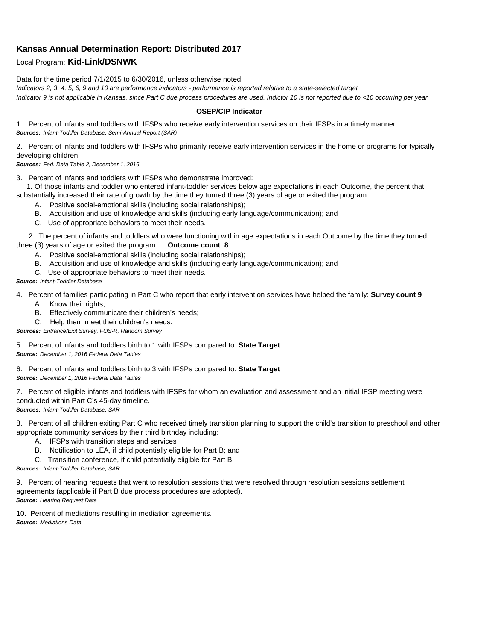# **Kansas Annual Determination Report: Distributed 2017**

## Local Program: **Kid-Link/DSNWK**

#### Data for the time period 7/1/2015 to 6/30/2016, unless otherwise noted

*Indicators 2, 3, 4, 5, 6, 9 and 10 are performance indicators - performance is reported relative to a state-selected target Indicator 9 is not applicable in Kansas, since Part C due process procedures are used. Indictor 10 is not reported due to <10 occurring per year*

#### **OSEP/CIP Indicator**

1. Percent of infants and toddlers with IFSPs who receive early intervention services on their IFSPs in a timely manner. *Sources: Infant-Toddler Database, Semi-Annual Report (SAR)* 

2. Percent of infants and toddlers with IFSPs who primarily receive early intervention services in the home or programs for typically developing children.

*Sources: Fed. Data Table 2; December 1, 2016*

3. Percent of infants and toddlers with IFSPs who demonstrate improved:

 1. Of those infants and toddler who entered infant-toddler services below age expectations in each Outcome, the percent that substantially increased their rate of growth by the time they turned three (3) years of age or exited the program

- A. Positive social-emotional skills (including social relationships);
- B. Acquisition and use of knowledge and skills (including early language/communication); and
- C. Use of appropriate behaviors to meet their needs.

 2. The percent of infants and toddlers who were functioning within age expectations in each Outcome by the time they turned three (3) years of age or exited the program: **Outcome count 8**

- A. Positive social-emotional skills (including social relationships);
- B. Acquisition and use of knowledge and skills (including early language/communication); and
- C. Use of appropriate behaviors to meet their needs.

### *Source: Infant-Toddler Database*

4. Percent of families participating in Part C who report that early intervention services have helped the family: **Survey count 9**

- A. Know their rights;
- B. Effectively communicate their children's needs;
- C. Help them meet their children's needs.
- *Sources: Entrance/Exit Survey, FOS-R, Random Survey*

5. Percent of infants and toddlers birth to 1 with IFSPs compared to: **State Target** *Source: December 1, 2016 Federal Data Tables*

6. Percent of infants and toddlers birth to 3 with IFSPs compared to: **State Target** *Source: December 1, 2016 Federal Data Tables*

7. Percent of eligible infants and toddlers with IFSPs for whom an evaluation and assessment and an initial IFSP meeting were conducted within Part C's 45-day timeline.

*Sources: Infant-Toddler Database, SAR*

8. Percent of all children exiting Part C who received timely transition planning to support the child's transition to preschool and other appropriate community services by their third birthday including:

- A. IFSPs with transition steps and services
- B. Notification to LEA, if child potentially eligible for Part B; and
- C. Transition conference, if child potentially eligible for Part B.

*Sources: Infant-Toddler Database, SAR*

9. Percent of hearing requests that went to resolution sessions that were resolved through resolution sessions settlement agreements (applicable if Part B due process procedures are adopted). *Source: Hearing Request Data*

10. Percent of mediations resulting in mediation agreements. *Source: Mediations Data*